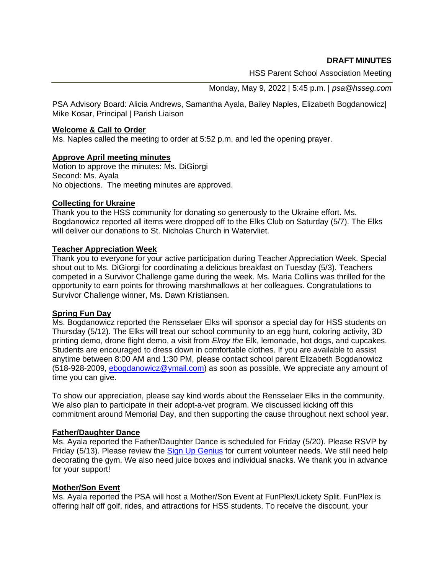**DRAFT MINUTES**

HSS Parent School Association Meeting

Monday, May 9, 2022 | 5:45 p.m. | *psa@hsseg.com*

PSA Advisory Board: Alicia Andrews, Samantha Ayala, Bailey Naples, Elizabeth Bogdanowicz| Mike Kosar, Principal | Parish Liaison

## **Welcome & Call to Order**

Ms. Naples called the meeting to order at 5:52 p.m. and led the opening prayer.

## **Approve April meeting minutes**

Motion to approve the minutes: Ms. DiGiorgi Second: Ms. Ayala No objections. The meeting minutes are approved.

## **Collecting for Ukraine**

Thank you to the HSS community for donating so generously to the Ukraine effort. Ms. Bogdanowicz reported all items were dropped off to the Elks Club on Saturday (5/7). The Elks will deliver our donations to St. Nicholas Church in Watervliet.

# **Teacher Appreciation Week**

Thank you to everyone for your active participation during Teacher Appreciation Week. Special shout out to Ms. DiGiorgi for coordinating a delicious breakfast on Tuesday (5/3). Teachers competed in a Survivor Challenge game during the week. Ms. Maria Collins was thrilled for the opportunity to earn points for throwing marshmallows at her colleagues. Congratulations to Survivor Challenge winner, Ms. Dawn Kristiansen.

#### **Spring Fun Day**

Ms. Bogdanowicz reported the Rensselaer Elks will sponsor a special day for HSS students on Thursday (5/12). The Elks will treat our school community to an egg hunt, coloring activity, 3D printing demo, drone flight demo, a visit from *Elroy the* Elk, lemonade, hot dogs, and cupcakes. Students are encouraged to dress down in comfortable clothes. If you are available to assist anytime between 8:00 AM and 1:30 PM, please contact school parent Elizabeth Bogdanowicz (518-928-2009, [ebogdanowicz@ymail.com\)](mailto:ebogdanowicz@ymail.com) as soon as possible. We appreciate any amount of time you can give.

To show our appreciation, please say kind words about the Rensselaer Elks in the community. We also plan to participate in their adopt-a-vet program. We discussed kicking off this commitment around Memorial Day, and then supporting the cause throughout next school year.

# **Father/Daughter Dance**

Ms. Ayala reported the Father/Daughter Dance is scheduled for Friday (5/20). Please RSVP by Friday (5/13). Please review the [Sign Up Genius](https://www.signupgenius.com/go/508044bacad22abf49-light) for current volunteer needs. We still need help decorating the gym. We also need juice boxes and individual snacks. We thank you in advance for your support!

# **Mother/Son Event**

Ms. Ayala reported the PSA will host a Mother/Son Event at FunPlex/Lickety Split. FunPlex is offering half off golf, rides, and attractions for HSS students. To receive the discount, your